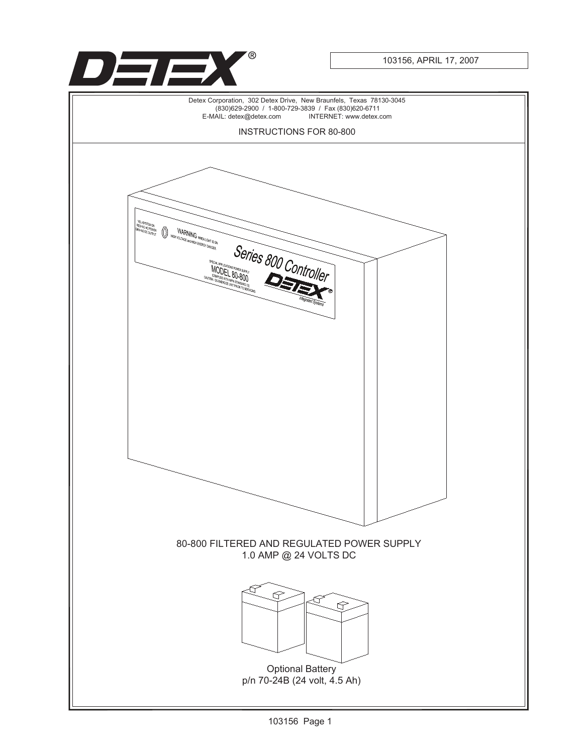

103156, APRIL 17, 2007

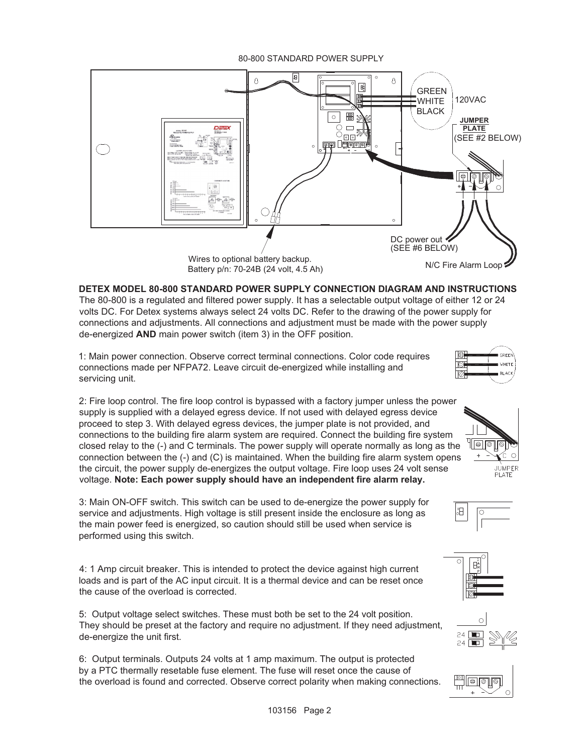## 80-800 STANDARD POWER SUPPLY



**DETEX MODEL 80-800 STANDARD POWER SUPPLY CONNECTION DIAGRAM AND INSTRUCTIONS** The 80-800 is a regulated and filtered power supply. It has a selectable output voltage of either 12 or 24 volts DC. For Detex systems always select 24 volts DC. Refer to the drawing of the power supply for connections and adjustments. All connections and adjustment must be made with the power supply de-energized **AND** main power switch (item 3) in the OFF position.

1: Main power connection. Observe correct terminal connections. Color code requires connections made per NFPA72. Leave circuit de-energized while installing and servicing unit.

2: Fire loop control. The fire loop control is bypassed with a factory jumper unless the power supply is supplied with a delayed egress device. If not used with delayed egress device proceed to step 3. With delayed egress devices, the jumper plate is not provided, and connections to the building fire alarm system are required. Connect the building fire system closed relay to the (-) and C terminals. The power supply will operate normally as long as the connection between the (-) and (C) is maintained. When the building fire alarm system opens the circuit, the power supply de-energizes the output voltage. Fire loop uses 24 volt sense voltage. **Note: Each power supply should have an independent fire alarm relay.**

3: Main ON-OFF switch. This switch can be used to de-energize the power supply for service and adjustments. High voltage is still present inside the enclosure as long as the main power feed is energized, so caution should still be used when service is performed using this switch.

4: 1 Amp circuit breaker. This is intended to protect the device against high current loads and is part of the AC input circuit. It is a thermal device and can be reset once the cause of the overload is corrected.

5: Output voltage select switches. These must both be set to the 24 volt position. They should be preset at the factory and require no adjustment. If they need adjustment, de-energize the unit first.

6: Output terminals. Outputs 24 volts at 1 amp maximum. The output is protected by a PTC thermally resetable fuse element. The fuse will reset once the cause of the overload is found and corrected. Observe correct polarity when making connections.



 $\mathbb{Z}[\![\infty ]\!]$ 

 $\circ$ JUMPER **PLATE** 

Hel